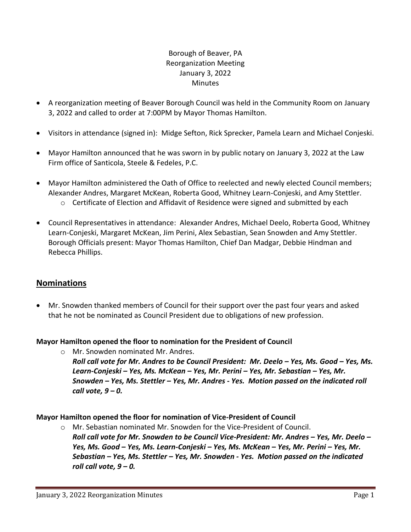# Borough of Beaver, PA Reorganization Meeting January 3, 2022 **Minutes**

- A reorganization meeting of Beaver Borough Council was held in the Community Room on January 3, 2022 and called to order at 7:00PM by Mayor Thomas Hamilton.
- Visitors in attendance (signed in): Midge Sefton, Rick Sprecker, Pamela Learn and Michael Conjeski.
- Mayor Hamilton announced that he was sworn in by public notary on January 3, 2022 at the Law Firm office of Santicola, Steele & Fedeles, P.C.
- Mayor Hamilton administered the Oath of Office to reelected and newly elected Council members; Alexander Andres, Margaret McKean, Roberta Good, Whitney Learn-Conjeski, and Amy Stettler.
	- o Certificate of Election and Affidavit of Residence were signed and submitted by each
- Council Representatives in attendance: Alexander Andres, Michael Deelo, Roberta Good, Whitney Learn-Conjeski, Margaret McKean, Jim Perini, Alex Sebastian, Sean Snowden and Amy Stettler. Borough Officials present: Mayor Thomas Hamilton, Chief Dan Madgar, Debbie Hindman and Rebecca Phillips.

# **Nominations**

• Mr. Snowden thanked members of Council for their support over the past four years and asked that he not be nominated as Council President due to obligations of new profession.

# **Mayor Hamilton opened the floor to nomination for the President of Council**

o Mr. Snowden nominated Mr. Andres. *Roll call vote for Mr. Andres to be Council President: Mr. Deelo – Yes, Ms. Good – Yes, Ms. Learn-Conjeski – Yes, Ms. McKean – Yes, Mr. Perini – Yes, Mr. Sebastian – Yes, Mr. Snowden – Yes, Ms. Stettler – Yes, Mr. Andres - Yes. Motion passed on the indicated roll call vote, 9 – 0.*

# **Mayor Hamilton opened the floor for nomination of Vice-President of Council**

o Mr. Sebastian nominated Mr. Snowden for the Vice-President of Council. *Roll call vote for Mr. Snowden to be Council Vice-President: Mr. Andres – Yes, Mr. Deelo – Yes, Ms. Good – Yes, Ms. Learn-Conjeski – Yes, Ms. McKean – Yes, Mr. Perini – Yes, Mr. Sebastian – Yes, Ms. Stettler – Yes, Mr. Snowden - Yes. Motion passed on the indicated roll call vote, 9 – 0.*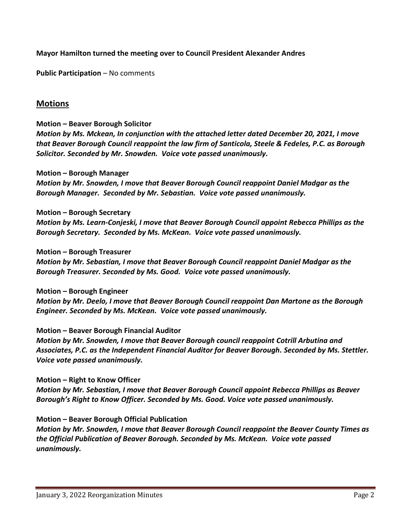## **Mayor Hamilton turned the meeting over to Council President Alexander Andres**

**Public Participation** – No comments

# **Motions**

**Motion – Beaver Borough Solicitor**

*Motion by Ms. Mckean, In conjunction with the attached letter dated December 20, 2021, I move that Beaver Borough Council reappoint the law firm of Santicola, Steele & Fedeles, P.C. as Borough Solicitor. Seconded by Mr. Snowden. Voice vote passed unanimously.*

#### **Motion – Borough Manager**

*Motion by Mr. Snowden, I move that Beaver Borough Council reappoint Daniel Madgar as the Borough Manager. Seconded by Mr. Sebastian. Voice vote passed unanimously.*

#### **Motion – Borough Secretary**

*Motion by Ms. Learn-Conjeski, I move that Beaver Borough Council appoint Rebecca Phillips as the Borough Secretary. Seconded by Ms. McKean. Voice vote passed unanimously.*

#### **Motion – Borough Treasurer**

*Motion by Mr. Sebastian, I move that Beaver Borough Council reappoint Daniel Madgar as the Borough Treasurer. Seconded by Ms. Good. Voice vote passed unanimously.*

#### **Motion – Borough Engineer**

*Motion by Mr. Deelo, I move that Beaver Borough Council reappoint Dan Martone as the Borough Engineer. Seconded by Ms. McKean. Voice vote passed unanimously.* 

## **Motion – Beaver Borough Financial Auditor**

*Motion by Mr. Snowden, I move that Beaver Borough council reappoint Cotrill Arbutina and Associates, P.C. as the Independent Financial Auditor for Beaver Borough. Seconded by Ms. Stettler. Voice vote passed unanimously.*

#### **Motion – Right to Know Officer**

*Motion by Mr. Sebastian, I move that Beaver Borough Council appoint Rebecca Phillips as Beaver Borough's Right to Know Officer. Seconded by Ms. Good. Voice vote passed unanimously.*

## **Motion – Beaver Borough Official Publication**

*Motion by Mr. Snowden, I move that Beaver Borough Council reappoint the Beaver County Times as the Official Publication of Beaver Borough. Seconded by Ms. McKean. Voice vote passed unanimously.*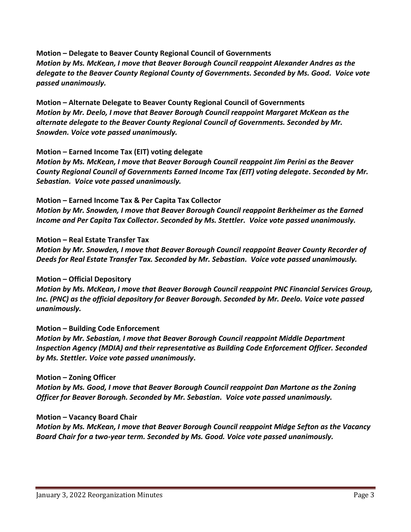**Motion – Delegate to Beaver County Regional Council of Governments** *Motion by Ms. McKean, I move that Beaver Borough Council reappoint Alexander Andres as the delegate to the Beaver County Regional County of Governments. Seconded by Ms. Good. Voice vote passed unanimously.*

**Motion – Alternate Delegate to Beaver County Regional Council of Governments** *Motion by Mr. Deelo, I move that Beaver Borough Council reappoint Margaret McKean as the alternate delegate to the Beaver County Regional Council of Governments. Seconded by Mr. Snowden. Voice vote passed unanimously.* 

## **Motion – Earned Income Tax (EIT) voting delegate**

*Motion by Ms. McKean, I move that Beaver Borough Council reappoint Jim Perini as the Beaver County Regional Council of Governments Earned Income Tax (EIT) voting delegate. Seconded by Mr. Sebastian. Voice vote passed unanimously.*

## **Motion – Earned Income Tax & Per Capita Tax Collector**

*Motion by Mr. Snowden, I move that Beaver Borough Council reappoint Berkheimer as the Earned Income and Per Capita Tax Collector. Seconded by Ms. Stettler. Voice vote passed unanimously.*

## **Motion – Real Estate Transfer Tax**

*Motion by Mr. Snowden, I move that Beaver Borough Council reappoint Beaver County Recorder of Deeds for Real Estate Transfer Tax. Seconded by Mr. Sebastian. Voice vote passed unanimously.*

# **Motion – Official Depository**

*Motion by Ms. McKean, I move that Beaver Borough Council reappoint PNC Financial Services Group, Inc. (PNC) as the official depository for Beaver Borough. Seconded by Mr. Deelo. Voice vote passed unanimously.*

# **Motion – Building Code Enforcement**

*Motion by Mr. Sebastian, I move that Beaver Borough Council reappoint Middle Department Inspection Agency (MDIA) and their representative as Building Code Enforcement Officer. Seconded by Ms. Stettler. Voice vote passed unanimously***.**

## **Motion – Zoning Officer**

*Motion by Ms. Good, I move that Beaver Borough Council reappoint Dan Martone as the Zoning Officer for Beaver Borough. Seconded by Mr. Sebastian. Voice vote passed unanimously.*

## **Motion – Vacancy Board Chair**

*Motion by Ms. McKean, I move that Beaver Borough Council reappoint Midge Sefton as the Vacancy Board Chair for a two-year term. Seconded by Ms. Good. Voice vote passed unanimously.*